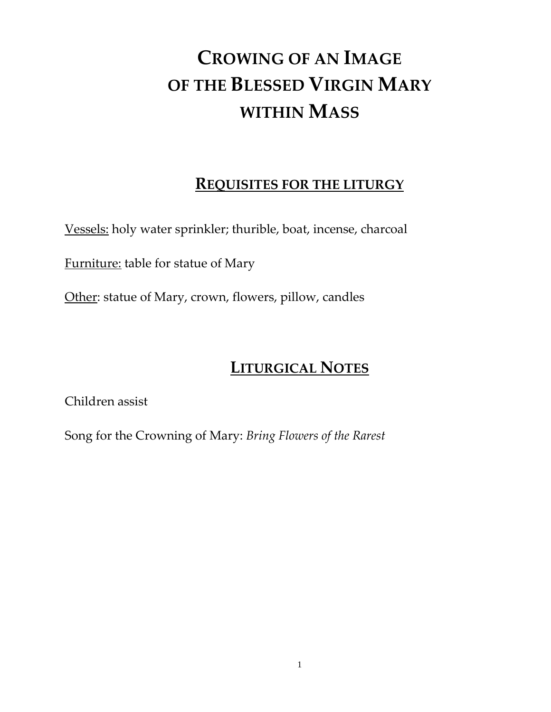# **CROWING OF AN IMAGE OF THE BLESSED VIRGIN MARY WITHIN MASS**

## **REQUISITES FOR THE LITURGY**

Vessels: holy water sprinkler; thurible, boat, incense, charcoal

Furniture: table for statue of Mary

Other: statue of Mary, crown, flowers, pillow, candles

# **LITURGICAL NOTES**

Children assist

Song for the Crowning of Mary: *Bring Flowers of the Rarest*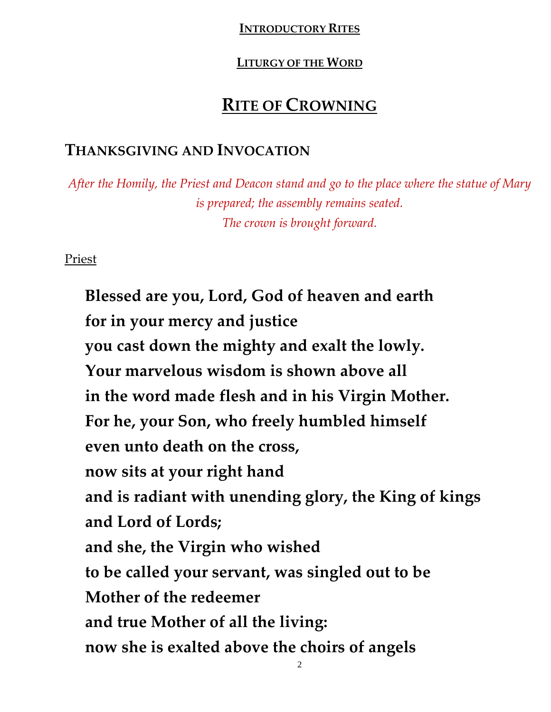### **INTRODUCTORY RITES**

### **LITURGY OF THE WORD**

# **RITE OF CROWNING**

## **THANKSGIVING AND INVOCATION**

*After the Homily, the Priest and Deacon stand and go to the place where the statue of Mary is prepared; the assembly remains seated. The crown is brought forward.*

Priest

**Blessed are you, Lord, God of heaven and earth for in your mercy and justice you cast down the mighty and exalt the lowly. Your marvelous wisdom is shown above all in the word made flesh and in his Virgin Mother. For he, your Son, who freely humbled himself even unto death on the cross, now sits at your right hand and is radiant with unending glory, the King of kings and Lord of Lords; and she, the Virgin who wished to be called your servant, was singled out to be Mother of the redeemer and true Mother of all the living: now she is exalted above the choirs of angels**

2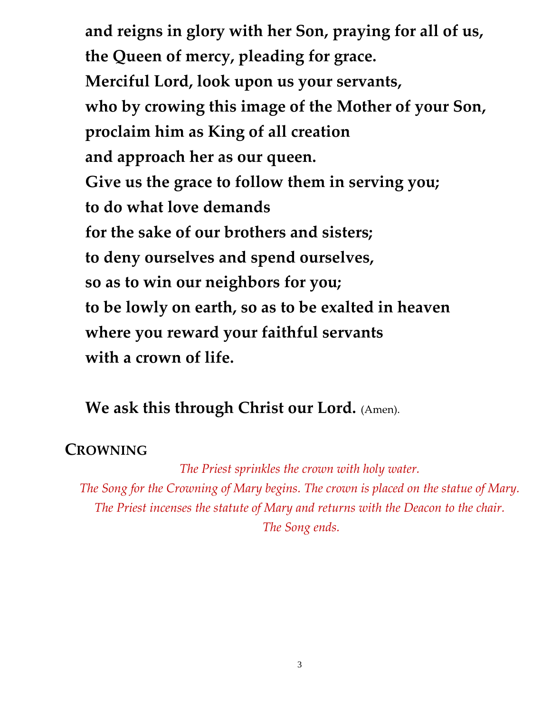**and reigns in glory with her Son, praying for all of us, the Queen of mercy, pleading for grace. Merciful Lord, look upon us your servants, who by crowing this image of the Mother of your Son, proclaim him as King of all creation and approach her as our queen. Give us the grace to follow them in serving you; to do what love demands for the sake of our brothers and sisters; to deny ourselves and spend ourselves, so as to win our neighbors for you; to be lowly on earth, so as to be exalted in heaven where you reward your faithful servants with a crown of life.**

## **We ask this through Christ our Lord.** (Amen).

## **CROWNING**

*The Priest sprinkles the crown with holy water. The Song for the Crowning of Mary begins. The crown is placed on the statue of Mary. The Priest incenses the statute of Mary and returns with the Deacon to the chair. The Song ends.*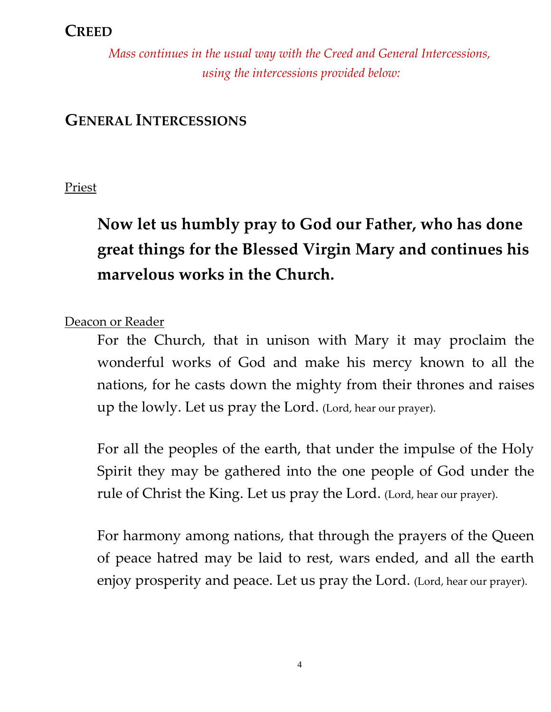## **CREED**

*Mass continues in the usual way with the Creed and General Intercessions, using the intercessions provided below:*

## **GENERAL INTERCESSIONS**

Priest

**Now let us humbly pray to God our Father, who has done great things for the Blessed Virgin Mary and continues his marvelous works in the Church.** 

Deacon or Reader

For the Church, that in unison with Mary it may proclaim the wonderful works of God and make his mercy known to all the nations, for he casts down the mighty from their thrones and raises up the lowly. Let us pray the Lord. (Lord, hear our prayer).

For all the peoples of the earth, that under the impulse of the Holy Spirit they may be gathered into the one people of God under the rule of Christ the King. Let us pray the Lord. (Lord, hear our prayer).

For harmony among nations, that through the prayers of the Queen of peace hatred may be laid to rest, wars ended, and all the earth enjoy prosperity and peace. Let us pray the Lord. (Lord, hear our prayer).